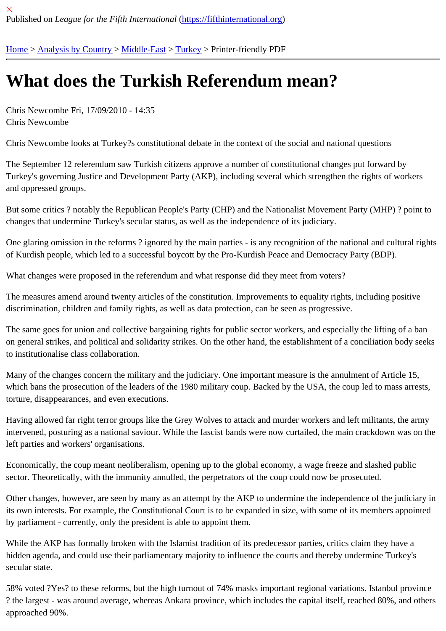## [Wh](https://fifthinternational.org/)[at does th](https://fifthinternational.org/category/1)[e Turki](https://fifthinternational.org/category/1/178)[sh R](https://fifthinternational.org/category/1/178/174)eferendum mean?

Chris Newcombe Fri, 17/09/2010 - 14:35 Chris Newcombe

Chris Newcombe looks at Turkey?s constitutional debate in the context of the social and national questions

The September 12 referendum saw Turkish citizens approve a number of constitutional changes put forward by Turkey's governing Justice and Development Party (AKP), including several which strengthen the rights of workers and oppressed groups.

But some critics ? notably the Republican People's Party (CHP) and the Nationalist Movement Party (MHP) ? poin changes that undermine Turkey's secular status, as well as the independence of its judiciary.

One glaring omission in the reforms? ignored by the main parties - is any recognition of the national and cultural r of Kurdish people, which led to a successful boycott by the Pro-Kurdish Peace and Democracy Party (BDP).

What changes were proposed in the referendum and what response did they meet from voters?

The measures amend around twenty articles of the constitution. Improvements to equality rights, including positive discrimination, children and family rights, as well as data protection, can be seen as progressive.

The same goes for union and collective bargaining rights for public sector workers, and especially the lifting of a bangle on general strikes, and political and solidarity strikes. On the other hand, the establishment of a conciliation body s to institutionalise class collaboration.

Many of the changes concern the military and the judiciary. One important measure is the annulment of Article 15, which bans the prosecution of the leaders of the 1980 military coup. Backed by the USA, the coup led to mass arre torture, disappearances, and even executions.

Having allowed far right terror groups like the Grey Wolves to attack and murder workers and left militants, the army intervened, posturing as a national saviour. While the fascist bands were now curtailed, the main crackdown was o left parties and workers' organisations.

Economically, the coup meant neoliberalism, opening up to the global economy, a wage freeze and slashed public sector. Theoretically, with the immunity annulled, the perpetrators of the coup could now be prosecuted.

Other changes, however, are seen by many as an attempt by the AKP to undermine the independence of the judic its own interests. For example, the Constitutional Court is to be expanded in size, with some of its members appoi by parliament - currently, only the president is able to appoint them.

While the AKP has formally broken with the Islamist tradition of its predecessor parties, critics claim they have a hidden agenda, and could use their parliamentary majority to influence the courts and thereby undermine Turkey's secular state.

58% voted ?Yes? to these reforms, but the high turnout of 74% masks important regional variations. Istanbul provi ? the largest - was around average, whereas Ankara province, which includes the capital itself, reached 80%, and approached 90%.